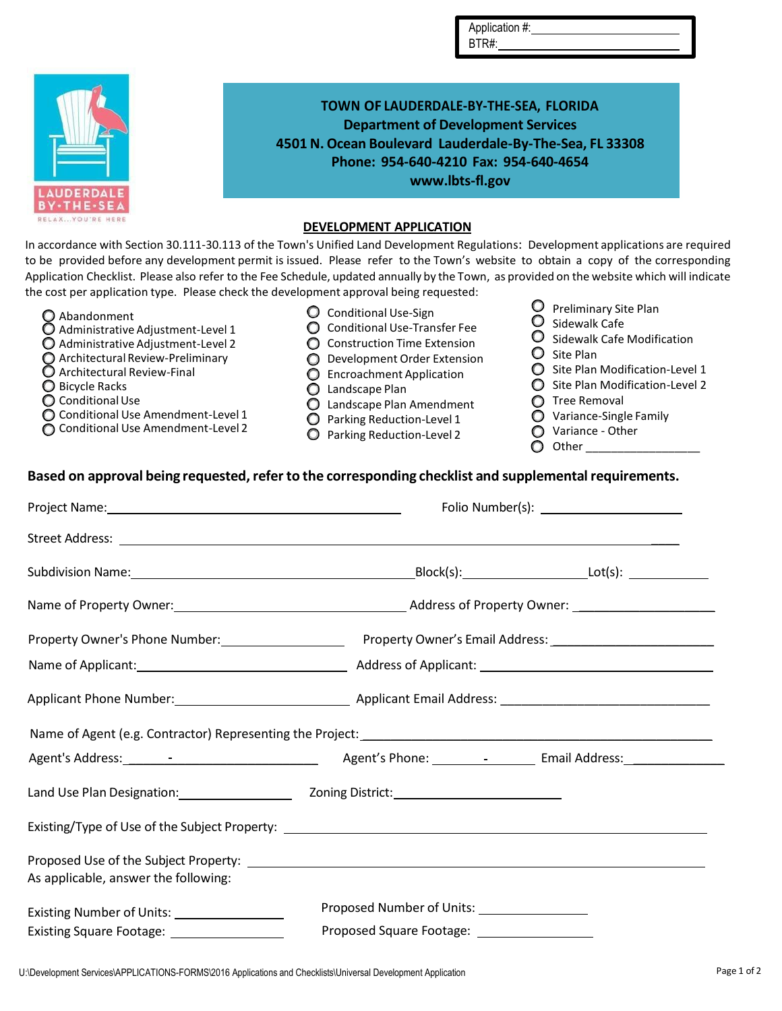|                   | TOWN OF LAUDERDALE-BY-THE-SEA, FLORIDA                  |
|-------------------|---------------------------------------------------------|
|                   | <b>Department of Development Services</b>               |
|                   | 4501 N. Ocean Boulevard Lauderdale-By-The-Sea, FL 33308 |
|                   | Phone: 954-640-4210 Fax: 954-640-4654                   |
|                   | www.lbts-fl.gov                                         |
| <b>LAUDERDALE</b> |                                                         |
| <b>BY-THE-SEA</b> |                                                         |
| RELAXYOU'RE       | BEVELOBAENE ABBUAREDAN                                  |

## **DEVELOPMENT APPLICATION**

In accordance with Section 30.111-30.113 of the Town's Unified Land Development Regulations: Development applications are required to be provided before any development permit is issued. Please refer to the Town's website to obtain a copy of the corresponding Application Checklist. Please also refer to the Fee Schedule, updated annually by the Town, as provided on the website which will indicate the cost per application type. Please check the development approval being requested:

- Abandonment
- $\overline{O}$  Administrative Adjustment-Level 1
- Administrative Adjustment-Level 2
- Architectural Review-Preliminary
- Architectural Review-Final
- O Bicycle Racks
- C Conditional Use
- Conditional Use Amendment-Level 1
- Conditional Use Amendment-Level 2
- Conditional Use-Sign
- C Conditional Use-Transfer Fee
- **O** Construction Time Extension
- O Development Order Extension
- **C** Encroachment Application
- Landscape Plan
- Landscape Plan Amendment
- **Q** Parking Reduction-Level 1
- Parking Reduction-Level 2
- Preliminary Site Plan  $\bullet$  Sidewalk Cafe
- 
- O Sidewalk Cafe Modification  $\bigcirc$  Site Plan
- 

Application #: BTR#:

- $\bigcirc$  Site Plan Modification-Level 1
- Site Plan Modification-Level 2
- **O** Tree Removal
- O Variance-Single Family
- Variance Other
- $\bigcirc$  Other

## **Based** on approval being requested, refer to the corresponding checklist and supplemental requirements.

|                                                                                     | Name of Property Owner: 1980 1991 1992 Address of Property Owner: 2008 2014 2014 2015 2016 2017 2020 2021 2022 |  |
|-------------------------------------------------------------------------------------|----------------------------------------------------------------------------------------------------------------|--|
|                                                                                     |                                                                                                                |  |
|                                                                                     |                                                                                                                |  |
|                                                                                     |                                                                                                                |  |
|                                                                                     |                                                                                                                |  |
|                                                                                     | Agent's Phone: 1990 - 1991 - Email Address: 2002 - 2003                                                        |  |
|                                                                                     | Land Use Plan Designation: The Manuscript Coning District: The Manuscript Control of Control Control 2011 2011 |  |
|                                                                                     | Existing/Type of Use of the Subject Property: ___________________________________                              |  |
|                                                                                     |                                                                                                                |  |
| As applicable, answer the following:                                                |                                                                                                                |  |
| Proposed Number of Units: 2000 2010<br>Existing Number of Units: __________________ |                                                                                                                |  |
| Existing Square Footage: __________________                                         | Proposed Square Footage: ___________________                                                                   |  |